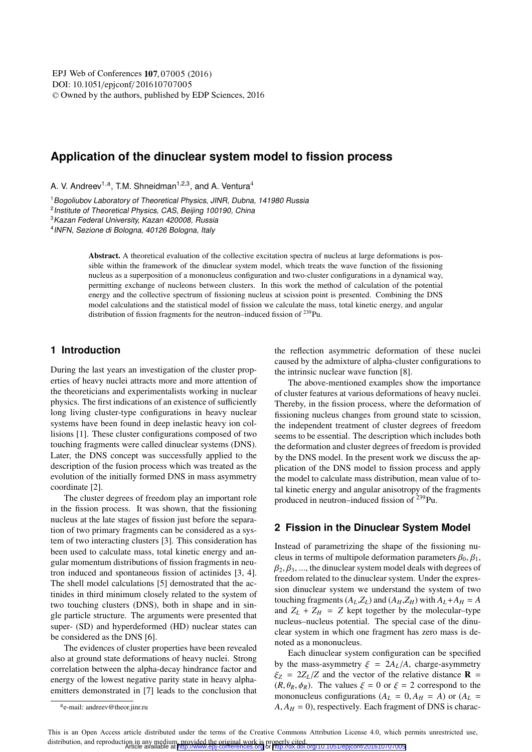# **Application of the dinuclear system model to fission process**

A. V. Andreev<sup>1,a</sup>, T.M. Shneidman<sup>1,2,3</sup>, and A. Ventura<sup>4</sup>

<sup>1</sup> Bogoliubov Laboratory of Theoretical Physics, JINR, Dubna, 141980 Russia

<sup>2</sup> Institute of Theoretical Physics, CAS, Beijing 100190, China

<sup>3</sup> Kazan Federal University, Kazan 420008, Russia

<sup>4</sup>INFN, Sezione di Bologna, <sup>40126</sup> Bologna, Italy

Abstract. A theoretical evaluation of the collective excitation spectra of nucleus at large deformations is possible within the framework of the dinuclear system model, which treats the wave function of the fissioning nucleus as a superposition of a mononucleus configuration and two-cluster configurations in a dynamical way, permitting exchange of nucleons between clusters. In this work the method of calculation of the potential energy and the collective spectrum of fissioning nucleus at scission point is presented. Combining the DNS model calculations and the statistical model of fission we calculate the mass, total kinetic energy, and angular distribution of fission fragments for the neutron–induced fission of <sup>239</sup>Pu.

## **1 Introduction**

During the last years an investigation of the cluster properties of heavy nuclei attracts more and more attention of the theoreticians and experimentalists working in nuclear physics. The first indications of an existence of sufficiently long living cluster-type configurations in heavy nuclear systems have been found in deep inelastic heavy ion collisions [1]. These cluster configurations composed of two touching fragments were called dinuclear systems (DNS). Later, the DNS concept was successfully applied to the description of the fusion process which was treated as the evolution of the initially formed DNS in mass asymmetry coordinate [2].

The cluster degrees of freedom play an important role in the fission process. It was shown, that the fissioning nucleus at the late stages of fission just before the separation of two primary fragments can be considered as a system of two interacting clusters [3]. This consideration has been used to calculate mass, total kinetic energy and angular momentum distributions of fission fragments in neutron induced and spontaneous fission of actinides [3, 4]. The shell model calculations [5] demostrated that the actinides in third minimum closely related to the system of two touching clusters (DNS), both in shape and in single particle structure. The arguments were presented that super- (SD) and hyperdeformed (HD) nuclear states can be considered as the DNS [6].

The evidences of cluster properties have been revealed also at ground state deformations of heavy nuclei. Strong correlation between the alpha-decay hindrance factor and energy of the lowest negative parity state in heavy alphaemitters demonstrated in [7] leads to the conclusion that the reflection asymmetric deformation of these nuclei caused by the admixture of alpha-cluster configurations to the intrinsic nuclear wave function [8].

The above-mentioned examples show the importance of cluster features at various deformations of heavy nuclei. Thereby, in the fission process, where the deformation of fissioning nucleus changes from ground state to scission, the independent treatment of cluster degrees of freedom seems to be essential. The description which includes both the deformation and cluster degrees of freedom is provided by the DNS model. In the present work we discuss the application of the DNS model to fission process and apply the model to calculate mass distribution, mean value of total kinetic energy and angular anisotropy of the fragments produced in neutron–induced fission of <sup>239</sup>Pu.

#### **2 Fission in the Dinuclear System Model**

Instead of parametrizing the shape of the fissioning nucleus in terms of multipole deformation parameters  $\beta_0$ ,  $\beta_1$ ,  $\beta_2, \beta_3, \dots$ , the dinuclear system model deals with degrees of freedom related to the dinuclear system. Under the expression dinuclear system we understand the system of two touching fragments  $(A_L, Z_L)$  and  $(A_H, Z_H)$  with  $A_L + A_H = A$ and  $Z_L + Z_H = Z$  kept together by the molecular–type nucleus–nucleus potential. The special case of the dinuclear system in which one fragment has zero mass is denoted as a mononucleus.

Each dinuclear system configuration can be specified by the mass-asymmetry  $\xi = 2A_L/A$ , charge-asymmetry  $\xi_Z$  = 2*Z<sub>L</sub>*/*Z* and the vector of the relative distance **R** =  $(R, \theta_R, \phi_R)$ . The values  $\xi = 0$  or  $\xi = 2$  correspond to the mononucleus configurations  $(A_L = 0, A_H = A)$  or  $(A_L =$  $A, A_H = 0$ , respectively. Each fragment of DNS is charac-

This is an Open Access article distributed under the terms of the Creative Commons Attribution License 4.0, which permits unrestricted use. distribution, and reproduction in any medium, provided the original work is properly cited.<br>Article available at <http://www.epj-conferences.org> or <http://dx.doi.org/10.1051/epjconf/201610707005>

ae-mail: andreev@theor.jinr.ru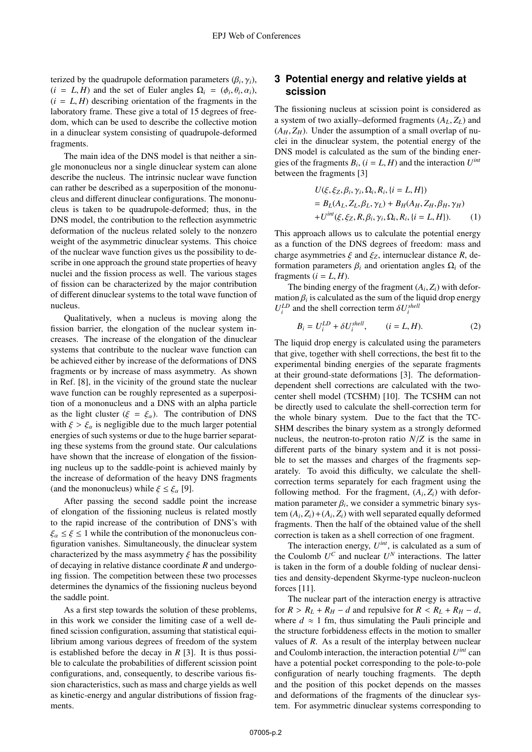terized by the quadrupole deformation parameters  $(\beta_i, \gamma_i)$ ,  $(i = L, H)$  and the set of Euler angles  $\Omega_i = (\phi_i, \theta_i, \alpha_i)$ ,  $(i = L, H)$  describing orientation of the fragments in the laboratory frame. These give a total of 15 degrees of freedom, which can be used to describe the collective motion in a dinuclear system consisting of quadrupole-deformed fragments.

The main idea of the DNS model is that neither a single mononucleus nor a single dinuclear system can alone describe the nucleus. The intrinsic nuclear wave function can rather be described as a superposition of the mononucleus and different dinuclear configurations. The mononucleus is taken to be quadrupole-deformed; thus, in the DNS model, the contribution to the reflection asymmetric deformation of the nucleus related solely to the nonzero weight of the asymmetric dinuclear systems. This choice of the nuclear wave function gives us the possibility to describe in one approach the ground state properties of heavy nuclei and the fission process as well. The various stages of fission can be characterized by the major contribution of different dinuclear systems to the total wave function of nucleus.

Qualitatively, when a nucleus is moving along the fission barrier, the elongation of the nuclear system increases. The increase of the elongation of the dinuclear systems that contribute to the nuclear wave function can be achieved either by increase of the deformations of DNS fragments or by increase of mass asymmetry. As shown in Ref. [8], in the vicinity of the ground state the nuclear wave function can be roughly represented as a superposition of a mononucleus and a DNS with an alpha particle as the light cluster ( $\xi = \xi_{\alpha}$ ). The contribution of DNS with  $\xi > \xi_{\alpha}$  is negligible due to the much larger potential energies of such systems or due to the huge barrier separating these systems from the ground state. Our calculations have shown that the increase of elongation of the fissioning nucleus up to the saddle-point is achieved mainly by the increase of deformation of the heavy DNS fragments (and the mononucleus) while  $\xi \leq \xi_{\alpha}$  [9].

After passing the second saddle point the increase of elongation of the fissioning nucleus is related mostly to the rapid increase of the contribution of DNS's with  $\xi_{\alpha} \leq \xi \leq 1$  while the contribution of the mononucleus configuration vanishes. Simultaneously, the dinuclear system characterized by the mass asymmetry  $\xi$  has the possibility of decaying in relative distance coordinate *R* and undergoing fission. The competition between these two processes determines the dynamics of the fissioning nucleus beyond the saddle point.

As a first step towards the solution of these problems, in this work we consider the limiting case of a well defined scission configuration, assuming that statistical equilibrium among various degrees of freedom of the system is established before the decay in *R* [3]. It is thus possible to calculate the probabilities of different scission point configurations, and, consequently, to describe various fission characteristics, such as mass and charge yields as well as kinetic-energy and angular distributions of fission fragments.

# **3 Potential energy and relative yields at scission**

The fissioning nucleus at scission point is considered as a system of two axially–deformed fragments (*AL*, *ZL*) and  $(A_H, Z_H)$ . Under the assumption of a small overlap of nuclei in the dinuclear system, the potential energy of the DNS model is calculated as the sum of the binding energies of the fragments  $B_i$ ,  $(i = L, H)$  and the interaction  $U^{int}$ between the fragments [3]

$$
U(\xi, \xi_Z, \beta_i, \gamma_i, \Omega_i, R_i, \{i = L, H\})
$$
  
=  $B_L(A_L, Z_L, \beta_L, \gamma_L) + B_H(A_H, Z_H, \beta_H, \gamma_H)$   
+ $U^{int}(\xi, \xi_Z, R, \beta_i, \gamma_i, \Omega_i, R_i, \{i = L, H\}).$  (1)

This approach allows us to calculate the potential energy as a function of the DNS degrees of freedom: mass and charge asymmetries  $\xi$  and  $\xi$ <sub>Z</sub>, internuclear distance *R*, deformation parameters β*<sup>i</sup>* and orientation angles Ω*<sup>i</sup>* of the fragments  $(i = L, H)$ .

The binding energy of the fragment  $(A_i, Z_i)$  with deformation  $\beta_i$  is calculated as the sum of the liquid drop energy  $U_i^{LD}$  and the shell correction term  $\delta U_i^{shell}$ 

$$
B_i = U_i^{LD} + \delta U_i^{shell}, \qquad (i = L, H). \tag{2}
$$

The liquid drop energy is calculated using the parameters that give, together with shell corrections, the best fit to the experimental binding energies of the separate fragments at their ground-state deformations [3]. The deformationdependent shell corrections are calculated with the twocenter shell model (TCSHM) [10]. The TCSHM can not be directly used to calculate the shell-correction term for the whole binary system. Due to the fact that the TC-SHM describes the binary system as a strongly deformed nucleus, the neutron-to-proton ratio *N*/*Z* is the same in different parts of the binary system and it is not possible to set the masses and charges of the fragments separately. To avoid this difficulty, we calculate the shellcorrection terms separately for each fragment using the following method. For the fragment,  $(A_i, Z_i)$  with deformation parameter  $\beta_i$ , we consider a symmetric binary system  $(A_i, Z_i) + (A_i, Z_i)$  with well separated equally deformed fragments. Then the half of the obtained value of the shell correction is taken as a shell correction of one fragment.

The interaction energy,  $U^{int}$ , is calculated as a sum of the Coulomb  $U^C$  and nuclear  $U^N$  interactions. The latter is taken in the form of a double folding of nuclear densities and density-dependent Skyrme-type nucleon-nucleon forces [11].

The nuclear part of the interaction energy is attractive for  $R > R_L + R_H - d$  and repulsive for  $R < R_L + R_H - d$ , where  $d \approx 1$  fm, thus simulating the Pauli principle and the structure forbiddeness effects in the motion to smaller values of *R*. As a result of the interplay between nuclear and Coulomb interaction, the interaction potential *Uint* can have a potential pocket corresponding to the pole-to-pole configuration of nearly touching fragments. The depth and the position of this pocket depends on the masses and deformations of the fragments of the dinuclear system. For asymmetric dinuclear systems corresponding to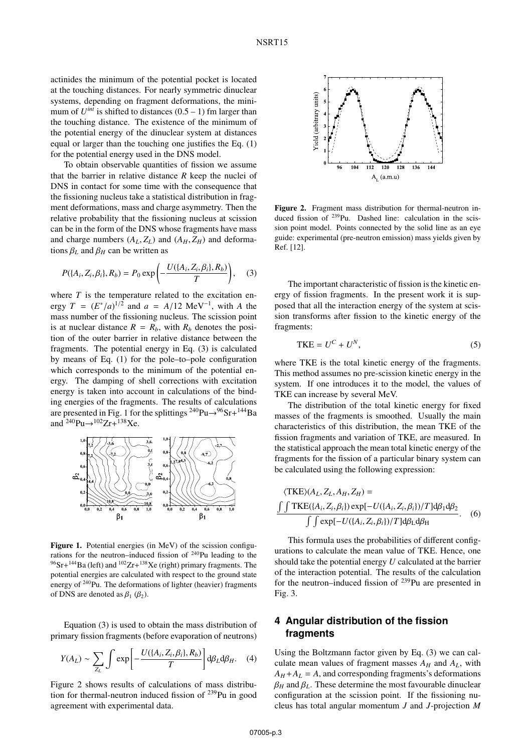actinides the minimum of the potential pocket is located at the touching distances. For nearly symmetric dinuclear systems, depending on fragment deformations, the minimum of  $U^{int}$  is shifted to distances  $(0.5 - 1)$  fm larger than the touching distance. The existence of the minimum of the potential energy of the dinuclear system at distances equal or larger than the touching one justifies the Eq. (1) for the potential energy used in the DNS model.

To obtain observable quantities of fission we assume that the barrier in relative distance *R* keep the nuclei of DNS in contact for some time with the consequence that the fissioning nucleus take a statistical distribution in fragment deformations, mass and charge asymmetry. Then the relative probability that the fissioning nucleus at scission can be in the form of the DNS whose fragments have mass and charge numbers  $(A_L, Z_L)$  and  $(A_H, Z_H)$  and deformations  $\beta_L$  and  $\beta_H$  can be written as

$$
P({Ai, Zi, \betai}, Rb) = P0 exp(-\frac{U({Ai, Zi, \betai}, Rb)}{T}),
$$
 (3)

where  $T$  is the temperature related to the excitation energy  $T = (E^*/a)^{1/2}$  and  $a = A/12 \text{ MeV}^{-1}$ , with *A* the mass number of the fissioning nucleus. The scission point is at nuclear distance  $R = R_b$ , with  $R_b$  denotes the position of the outer barrier in relative distance between the fragments. The potential energy in Eq. (3) is calculated by means of Eq. (1) for the pole–to–pole configuration which corresponds to the minimum of the potential energy. The damping of shell corrections with excitation energy is taken into account in calculations of the binding energies of the fragments. The results of calculations are presented in Fig. 1 for the splittings  $^{240}Pu \rightarrow ^{96}Sr + ^{144}Ba$ and  $^{240}Pu \rightarrow ^{102}Zr + ^{138}Xe$ .



Figure 1. Potential energies (in MeV) of the scission configurations for the neutron–induced fission of 240Pu leading to the  $96$ Sr+ $144$ Ba (left) and  $102Zr+138Xe$  (right) primary fragments. The potential energies are calculated with respect to the ground state energy of <sup>240</sup>Pu. The deformations of lighter (heavier) fragments of DNS are denoted as  $\beta_1$  ( $\beta_2$ ).

Equation (3) is used to obtain the mass distribution of primary fission fragments (before evaporation of neutrons)

$$
Y(A_L) \sim \sum_{Z_L} \int \exp\left[-\frac{U(\{A_i, Z_i, \beta_i\}, R_b)}{T}\right] d\beta_L d\beta_H.
$$
 (4)

Figure 2 shows results of calculations of mass distribution for thermal-neutron induced fission of  $^{239}$ Pu in good agreement with experimental data.



Figure 2. Fragment mass distribution for thermal-neutron induced fission of 239Pu. Dashed line: calculation in the scission point model. Points connected by the solid line as an eye guide: experimental (pre-neutron emission) mass yields given by Ref. [12].

The important characteristic of fission is the kinetic energy of fission fragments. In the present work it is supposed that all the interaction energy of the system at scission transforms after fission to the kinetic energy of the fragments:

$$
TKE = U^C + U^N, \tag{5}
$$

where TKE is the total kinetic energy of the fragments. This method assumes no pre-scission kinetic energy in the system. If one introduces it to the model, the values of TKE can increase by several MeV.

The distribution of the total kinetic energy for fixed masses of the fragments is smoothed. Usually the main characteristics of this distribution, the mean TKE of the fission fragments and variation of TKE, are measured. In the statistical approach the mean total kinetic energy of the fragments for the fission of a particular binary system can be calculated using the following expression:

$$
\langle \text{TKE}\rangle(A_L, Z_L, A_H, Z_H) =
$$
  

$$
\int \int \text{TKE}(\{A_i, Z_i, \beta_i\}) \exp[-U(\{A_i, Z_i, \beta_i\})/T] d\beta_1 d\beta_2
$$
  

$$
\int \int \exp[-U(\{A_i, Z_i, \beta_i\})/T] d\beta_L d\beta_H
$$
 (6)

This formula uses the probabilities of different configurations to calculate the mean value of TKE. Hence, one should take the potential energy *U* calculated at the barrier of the interaction potential. The results of the calculation for the neutron–induced fission of  $^{239}$ Pu are presented in Fig. 3.

# **4 Angular distribution of the fission fragments**

Using the Boltzmann factor given by Eq. (3) we can calculate mean values of fragment masses  $A_H$  and  $A_L$ , with  $A_H + A_L = A$ , and corresponding fragments's deformations  $\beta_H$  and  $\beta_L$ . These determine the most favourable dinuclear configuration at the scission point. If the fissioning nucleus has total angular momentum *J* and *J*-projection *M*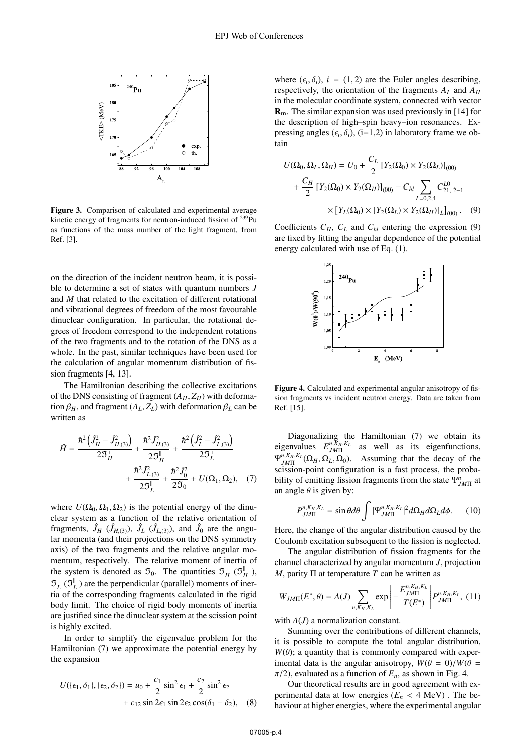

Figure 3. Comparison of calculated and experimental average kinetic energy of fragments for neutron-induced fission of <sup>239</sup>Pu as functions of the mass number of the light fragment, from Ref. [3].

on the direction of the incident neutron beam, it is possible to determine a set of states with quantum numbers *J* and *M* that related to the excitation of different rotational and vibrational degrees of freedom of the most favourable dinuclear configuration. In particular, the rotational degrees of freedom correspond to the independent rotations of the two fragments and to the rotation of the DNS as a whole. In the past, similar techniques have been used for the calculation of angular momentum distribution of fission fragments [4, 13].

The Hamiltonian describing the collective excitations of the DNS consisting of fragment  $(A_H, Z_H)$  with deformation  $\beta_H$ , and fragment  $(A_L, Z_L)$  with deformation  $\beta_L$  can be written as

$$
\hat{H} = \frac{\hbar^2 \left( \hat{J}_H^2 - \hat{J}_{H,(3)}^2 \right)}{2 \mathfrak{I}_H^{\perp}} + \frac{\hbar^2 \hat{J}_{H,(3)}^2}{2 \mathfrak{I}_H^{\parallel}} + \frac{\hbar^2 \left( \hat{J}_L^2 - \hat{J}_{L,(3)}^2 \right)}{2 \mathfrak{I}_L^{\perp}} + \frac{\hbar^2 \hat{J}_{L,(3)}^2}{2 \mathfrak{I}_L^{\parallel}} + \frac{\hbar^2 \hat{J}_{0}^2}{2 \mathfrak{I}_0^{\parallel}} + U(\Omega_1, \Omega_2), \quad (7)
$$

where  $U(\Omega_0, \Omega_1, \Omega_2)$  is the potential energy of the dinuclear system as a function of the relative orientation of fragments,  $\hat{J}_H$  ( $\hat{J}_{H,(3)}$ ),  $\hat{J}_L$  ( $\hat{J}_{L,(3)}$ ), and  $\hat{J}_0$  are the angular momenta (and their projections on the DNS symmetry axis) of the two fragments and the relative angular momentum, respectively. The relative moment of inertia of the system is denoted as  $\mathfrak{I}_0$ . The quantities  $\mathfrak{I}_H^{\perp}(\mathfrak{I}_H^{\parallel})$ ,  $\mathfrak{I}_L^{\perp}(\mathfrak{I}_L^{\parallel})$  are the perpendicular (parallel) moments of inertia of the corresponding fragments calculated in the rigid body limit. The choice of rigid body moments of inertia are justified since the dinuclear system at the scission point is highly excited.

In order to simplify the eigenvalue problem for the Hamiltonian (7) we approximate the potential energy by the expansion

$$
U(\{\epsilon_1, \delta_1\}, \{\epsilon_2, \delta_2\}) = u_0 + \frac{c_1}{2}\sin^2 \epsilon_1 + \frac{c_2}{2}\sin^2 \epsilon_2 + c_{12}\sin 2\epsilon_1\sin 2\epsilon_2\cos(\delta_1 - \delta_2),
$$
 (8)

where  $(\epsilon_i, \delta_i)$ ,  $i = (1, 2)$  are the Euler angles describing, respectively, the orientation of the fragments  $A_L$  and  $A_H$ in the molecular coordinate system, connected with vector Rm. The similar expansion was used previously in [14] for the description of high–spin heavy–ion resonances. Expressing angles  $(\epsilon_i, \delta_i)$ , (i=1,2) in laboratory frame we obtain

$$
U(\Omega_0, \Omega_L, \Omega_H) = U_0 + \frac{C_L}{2} [Y_2(\Omega_0) \times Y_2(\Omega_L)]_{(00)}
$$
  
+ 
$$
\frac{C_H}{2} [Y_2(\Omega_0) \times Y_2(\Omega_H)]_{(00)} - C_{hl} \sum_{L=0,2,4} C_{21,2-1}^{L0}
$$
  
× 
$$
[Y_L(\Omega_0) \times [Y_2(\Omega_L) \times Y_2(\Omega_H)]_{L}]_{(00)}.
$$
 (9)

Coefficients  $C_H$ ,  $C_L$  and  $C_{hl}$  entering the expression (9) are fixed by fitting the angular dependence of the potential energy calculated with use of Eq. (1).



Figure 4. Calculated and experimental angular anisotropy of fission fragments vs incident neutron energy. Data are taken from Ref. [15].

Diagonalizing the Hamiltonian (7) we obtain its<br>eigenvalues  $E_{JMT}^{n,K_H,K_L}$  as well as its eigenfunctions,  $\Psi_{JMT}^{n,K_H,K_L}(\Omega_H, \Omega_L, \Omega_0)$ . Assuming that the decay of the scission-point configuration is a fast process, the probability of emitting fission fragments from the state  $\Psi_{JMTI}^{n}$  at an angle  $\theta$  is given by:

$$
P_{JM\Pi}^{n,K_H,K_L} = \sin\theta d\theta \int |\Psi_{JM\Pi}^{n,K_H,K_L}|^2 d\Omega_H d\Omega_L d\phi. \tag{10}
$$

Here, the change of the angular distribution caused by the Coulomb excitation subsequent to the fission is neglected.

The angular distribution of fission fragments for the channel characterized by angular momentum *J*, projection *M*, parity  $\Pi$  at temperature *T* can be written as

$$
W_{JM\Pi}(E^*,\theta) = A(J) \sum_{n,K_H,K_L} \exp \left[ -\frac{E_{JM\Pi}^{n,K_H,K_L}}{T(E^*)} \right] P_{JM\Pi}^{n,K_H,K_L}, (11)
$$

with *A*(*J*) a normalization constant.

Summing over the contributions of different channels, it is possible to compute the total angular distribution,  $W(\theta)$ ; a quantity that is commonly compared with experimental data is the angular anisotropy,  $W(\theta = 0)/W(\theta = 0)$  $\pi/2$ , evaluated as a function of  $E_n$ , as shown in Fig. 4.

Our theoretical results are in good agreement with experimental data at low energies  $(E_n < 4 \text{ MeV})$ . The behaviour at higher energies, where the experimental angular